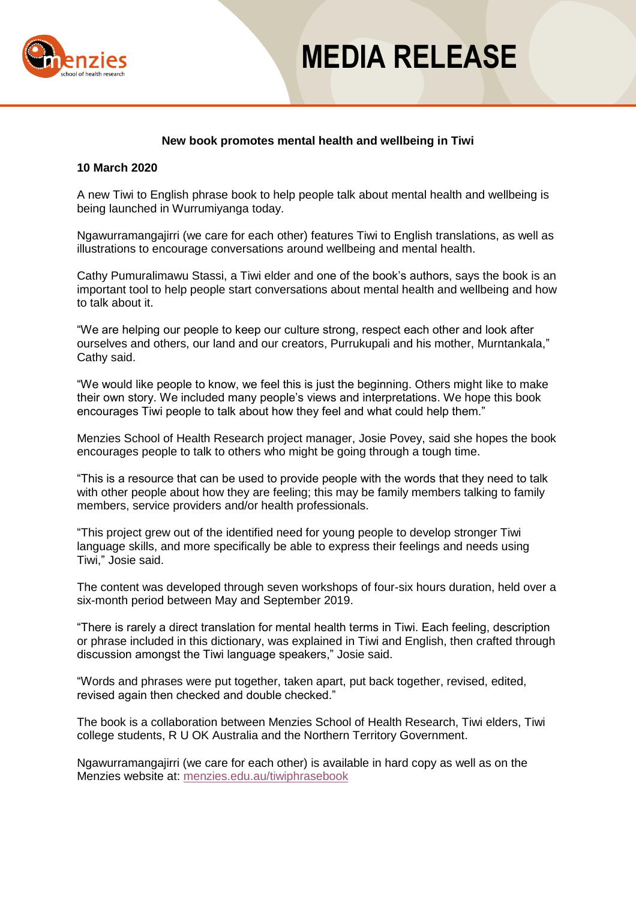

## **MEDIA RELEASE**

## **New book promotes mental health and wellbeing in Tiwi**

### **10 March 2020**

A new Tiwi to English phrase book to help people talk about mental health and wellbeing is being launched in Wurrumiyanga today.

Ngawurramangajirri (we care for each other) features Tiwi to English translations, as well as illustrations to encourage conversations around wellbeing and mental health.

Cathy Pumuralimawu Stassi, a Tiwi elder and one of the book's authors, says the book is an important tool to help people start conversations about mental health and wellbeing and how to talk about it.

"We are helping our people to keep our culture strong, respect each other and look after ourselves and others, our land and our creators, Purrukupali and his mother, Murntankala," Cathy said.

"We would like people to know, we feel this is just the beginning. Others might like to make their own story. We included many people's views and interpretations. We hope this book encourages Tiwi people to talk about how they feel and what could help them."

Menzies School of Health Research project manager, Josie Povey, said she hopes the book encourages people to talk to others who might be going through a tough time.

"This is a resource that can be used to provide people with the words that they need to talk with other people about how they are feeling; this may be family members talking to family members, service providers and/or health professionals.

"This project grew out of the identified need for young people to develop stronger Tiwi language skills, and more specifically be able to express their feelings and needs using Tiwi," Josie said.

The content was developed through seven workshops of four-six hours duration, held over a six-month period between May and September 2019.

"There is rarely a direct translation for mental health terms in Tiwi. Each feeling, description or phrase included in this dictionary, was explained in Tiwi and English, then crafted through discussion amongst the Tiwi language speakers," Josie said.

"Words and phrases were put together, taken apart, put back together, revised, edited, revised again then checked and double checked."

The book is a collaboration between Menzies School of Health Research, Tiwi elders, Tiwi college students, R U OK Australia and the Northern Territory Government.

Ngawurramangajirri (we care for each other) is available in hard copy as well as on the Menzies website at: [menzies.edu.au/tiwiphrasebook](https://www.menzies.edu.au/page/Resources/Ngawurramangajirri_-_Tiwi_phrases_for_mental_health_and_wellbeing/)